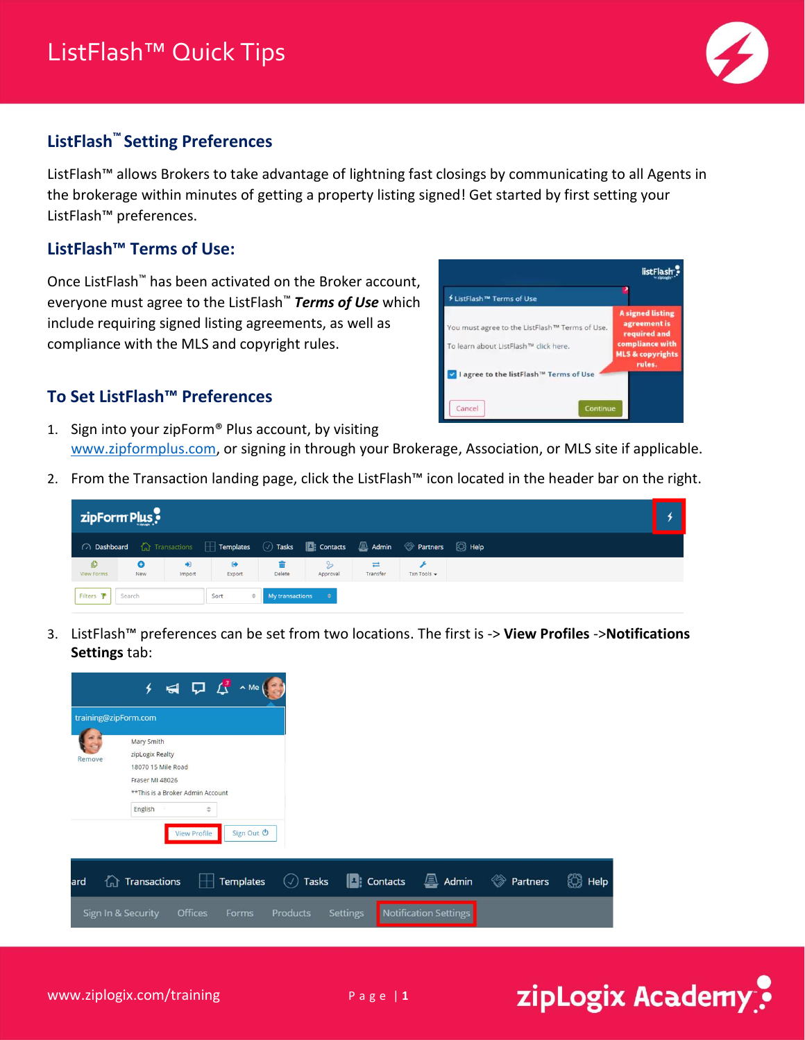

## **ListFlash™ Setting Preferences**

ListFlash™ allows Brokers to take advantage of lightning fast closings by communicating to all Agents in the brokerage within minutes of getting a property listing signed! Get started by first setting your ListFlash™ preferences.

## **ListFlash™ Terms of Use:**

Once ListFlash™ has been activated on the Broker account, everyone must agree to the ListFlash™ *Terms of Use* which include requiring signed listing agreements, as well as compliance with the MLS and copyright rules.

#### listFlash<sup>®</sup> <sup>∕</sup> ListFlash<sup>™</sup> Terms of Use signed listing You must agree to the ListFlash™ Terms of Use. required and pliance with To learn about ListFlash™ click here. **ILS & copyright:** V I agree to the listFlash™ Terms of Use Cancel

zipLogix Academy

### **To Set ListFlash™ Preferences**

- 1. Sign into your zipForm® Plus account, by visiting [www.zipformplus.com,](http://www.zipformplus.com/) or signing in through your Brokerage, Association, or MLS site if applicable.
- 2. From the Transaction landing page, click the ListFlash™ icon located in the header bar on the right.

| zipForm Plus           |                  |                |                                                                                     |                                          |               |                      |                                 |  |  |
|------------------------|------------------|----------------|-------------------------------------------------------------------------------------|------------------------------------------|---------------|----------------------|---------------------------------|--|--|
|                        |                  |                | ○ Dashboard △ Transactions □ Templates ② Tasks ■ Contacts ■ Admin ◆ Partners ● Help |                                          |               |                      |                                 |  |  |
| O<br><b>View Forms</b> | $\bullet$<br>New | $+1$<br>Import | $\bullet$<br>Export                                                                 | Delete                                   | ⇘<br>Approval | $\equiv$<br>Transfer | Txn Tools $\blacktriangleright$ |  |  |
| Filters $\Psi$ Search  |                  |                | Sort                                                                                | <b>My transactions</b> $\Leftrightarrow$ |               |                      |                                 |  |  |

3. ListFlash™ preferences can be set from two locations. The first is -> **View Profiles** ->**Notifications Settings** tab:

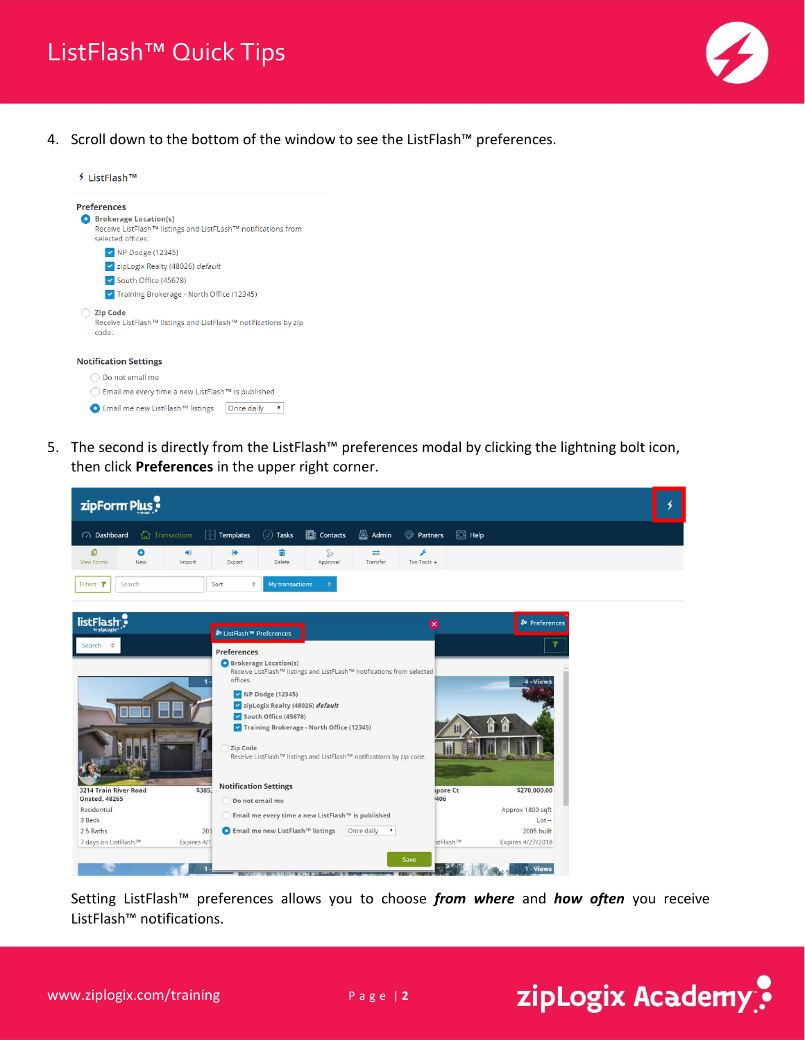

4. Scroll down to the bottom of the window to see the ListFlash™ preferences.

| ListFlash™                                                                                                         |
|--------------------------------------------------------------------------------------------------------------------|
| <b>Preferences</b>                                                                                                 |
| <b>Brokerage Location(s)</b><br>Receive ListFlash™ listings and ListFLash™ notifications from<br>selected offices. |
| $\vee$ NP Dodge (12345)                                                                                            |
| v zipLogix Realty (48026) default                                                                                  |
| South Office (45678)                                                                                               |
| Training Brokerage - North Office (12345)                                                                          |
| <b>Zip Code</b><br>Receive ListFlash™ listings and ListFlash™ notifications by zip<br>code.                        |
| <b>Notification Settings</b>                                                                                       |
| Do not email me                                                                                                    |
| Email me every time a new ListFlash™ is published                                                                  |

● Email me new ListFlash<sup>TM</sup> listings  $\boxed{Once \space daily \space \blacktriangledown}$ 

5. The second is directly from the ListFlash™ preferences modal by clicking the lightning bolt icon, then click **Preferences** in the upper right corner.

| $\binom{3}{2}$ Help<br>$\circledcirc$ Tasks<br>$\mathbf{A}$ Admin<br><sup>  •</sup> Partners<br><b>fa</b> Transactions<br>$\boxed{\blacksquare}$ : Contacts<br>(2) Dashboard<br>Templates<br>Н<br>O<br>٥<br>+D<br>$\bullet$<br>亩<br>$\mathcal{P}$<br>$\rightleftarrows$<br>F<br><b>View Forms</b><br>Transfer<br>Txn Tools +<br>New<br>Import<br>Export<br><b>Delete</b><br>Approval<br>Filters Y<br>Search<br>My transactions<br>Sort<br>$\Rightarrow$<br>٠<br>listFlash<br><b>&amp;</b> Preferences<br>$\overline{\mathbf{x}}$<br>by zipLogix<br><sup>8</sup> ListFlash <sup>™</sup> Preferences<br>Search<br><b>Preferences</b><br>Brokerage Location(s)<br>Receive ListFlash™ listings and ListFLash™ notifications from selected<br>offices.<br>4 - Views<br>NP Dodge (12345)<br>zipLogix Realty (48026) default<br>South Office (45678)<br>Training Brokerage - North Office (12345)<br>Zip Code<br>Receive ListFlash™ listings and ListFlash™ notifications by zip code.<br><b>Notification Settings</b><br>3214 Train River Road<br>\$385,<br>ipore Ct<br>\$270,000.00<br><b>Onsted, 48265</b><br>1406<br>Do not email me<br>Residential<br>Approx 1800 sqft<br>Email me every time a new ListFlash™ is published | zipForm Plus |  |  |  |  |  |  | ↯ |
|---------------------------------------------------------------------------------------------------------------------------------------------------------------------------------------------------------------------------------------------------------------------------------------------------------------------------------------------------------------------------------------------------------------------------------------------------------------------------------------------------------------------------------------------------------------------------------------------------------------------------------------------------------------------------------------------------------------------------------------------------------------------------------------------------------------------------------------------------------------------------------------------------------------------------------------------------------------------------------------------------------------------------------------------------------------------------------------------------------------------------------------------------------------------------------------------------------------------------|--------------|--|--|--|--|--|--|---|
|                                                                                                                                                                                                                                                                                                                                                                                                                                                                                                                                                                                                                                                                                                                                                                                                                                                                                                                                                                                                                                                                                                                                                                                                                           |              |  |  |  |  |  |  |   |
|                                                                                                                                                                                                                                                                                                                                                                                                                                                                                                                                                                                                                                                                                                                                                                                                                                                                                                                                                                                                                                                                                                                                                                                                                           |              |  |  |  |  |  |  |   |
|                                                                                                                                                                                                                                                                                                                                                                                                                                                                                                                                                                                                                                                                                                                                                                                                                                                                                                                                                                                                                                                                                                                                                                                                                           |              |  |  |  |  |  |  |   |
|                                                                                                                                                                                                                                                                                                                                                                                                                                                                                                                                                                                                                                                                                                                                                                                                                                                                                                                                                                                                                                                                                                                                                                                                                           |              |  |  |  |  |  |  |   |
|                                                                                                                                                                                                                                                                                                                                                                                                                                                                                                                                                                                                                                                                                                                                                                                                                                                                                                                                                                                                                                                                                                                                                                                                                           |              |  |  |  |  |  |  |   |
|                                                                                                                                                                                                                                                                                                                                                                                                                                                                                                                                                                                                                                                                                                                                                                                                                                                                                                                                                                                                                                                                                                                                                                                                                           |              |  |  |  |  |  |  |   |
|                                                                                                                                                                                                                                                                                                                                                                                                                                                                                                                                                                                                                                                                                                                                                                                                                                                                                                                                                                                                                                                                                                                                                                                                                           |              |  |  |  |  |  |  |   |
| 3 Beds<br>$Lot -$                                                                                                                                                                                                                                                                                                                                                                                                                                                                                                                                                                                                                                                                                                                                                                                                                                                                                                                                                                                                                                                                                                                                                                                                         |              |  |  |  |  |  |  |   |
| ● Email me new ListFlash™ listings<br>Once daily<br>2005 built<br>2.5 Baths<br>$\pmb{\mathrm{v}}$<br>201                                                                                                                                                                                                                                                                                                                                                                                                                                                                                                                                                                                                                                                                                                                                                                                                                                                                                                                                                                                                                                                                                                                  |              |  |  |  |  |  |  |   |
| 7 days on ListFlash™<br>stFlash™<br>Expires 4/27/2018<br>Expires 4/1                                                                                                                                                                                                                                                                                                                                                                                                                                                                                                                                                                                                                                                                                                                                                                                                                                                                                                                                                                                                                                                                                                                                                      |              |  |  |  |  |  |  |   |

Setting ListFlash™ preferences allows you to choose *from where* and *how often* you receive ListFlash™ notifications.